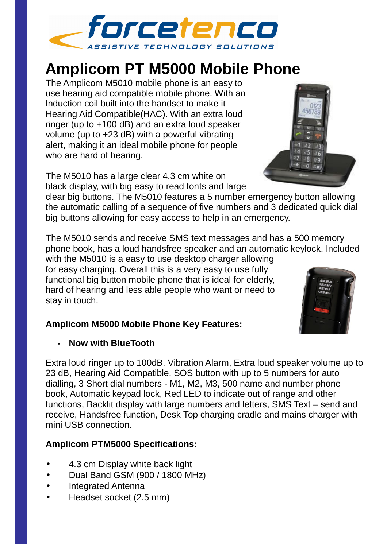

# **Amplicom PT M5000 Mobile Phone**

The Amplicom M5010 mobile phone is an easy to use hearing aid compatible mobile phone. With an Induction coil built into the handset to make it Hearing Aid Compatible(HAC). With an extra loud ringer (up to +100 dB) and an extra loud speaker volume (up to +23 dB) with a powerful vibrating alert, making it an ideal mobile phone for people who are hard of hearing.

The M5010 has a large clear 4.3 cm white on black display, with big easy to read fonts and large

clear big buttons. The M5010 features a 5 number emergency button allowing the automatic calling of a sequence of five numbers and 3 dedicated quick dial big buttons allowing for easy access to help in an emergency.

The M5010 sends and receive SMS text messages and has a 500 memory phone book, has a loud handsfree speaker and an automatic keylock. Included

with the M5010 is a easy to use desktop charger allowing for easy charging. Overall this is a very easy to use fully functional big button mobile phone that is ideal for elderly, hard of hearing and less able people who want or need to stay in touch.

#### **Amplicom M5000 Mobile Phone Key Features:**

#### • **Now with BlueTooth**

Extra loud ringer up to 100dB, Vibration Alarm, Extra loud speaker volume up to 23 dB, Hearing Aid Compatible, SOS button with up to 5 numbers for auto dialling, 3 Short dial numbers - M1, M2, M3, 500 name and number phone book, Automatic keypad lock, Red LED to indicate out of range and other functions, Backlit display with large numbers and letters, SMS Text – send and receive, Handsfree function, Desk Top charging cradle and mains charger with mini USB connection.

### **Amplicom PTM5000 Specifications:**

- 4.3 cm Display white back light
- Dual Band GSM (900 / 1800 MHz)
- Integrated Antenna
- Headset socket (2.5 mm)